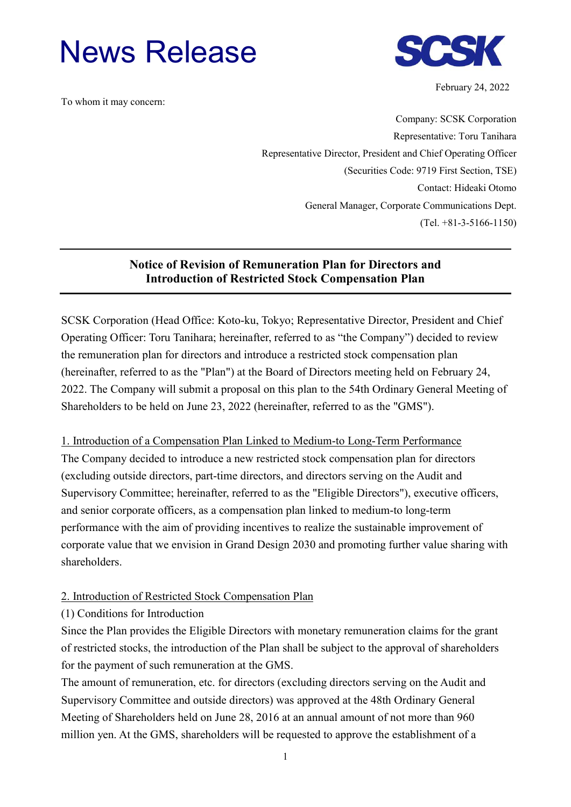# News Release



February 24, 2022

To whom it may concern:

Company: SCSK Corporation Representative: Toru Tanihara Representative Director, President and Chief Operating Officer (Securities Code: 9719 First Section, TSE) Contact: Hideaki Otomo General Manager, Corporate Communications Dept. (Tel. +81-3-5166-1150)

## **Notice of Revision of Remuneration Plan for Directors and Introduction of Restricted Stock Compensation Plan**

SCSK Corporation (Head Office: Koto-ku, Tokyo; Representative Director, President and Chief Operating Officer: Toru Tanihara; hereinafter, referred to as "the Company") decided to review the remuneration plan for directors and introduce a restricted stock compensation plan (hereinafter, referred to as the "Plan") at the Board of Directors meeting held on February 24, 2022. The Company will submit a proposal on this plan to the 54th Ordinary General Meeting of Shareholders to be held on June 23, 2022 (hereinafter, referred to as the "GMS").

1. Introduction of a Compensation Plan Linked to Medium-to Long-Term Performance The Company decided to introduce a new restricted stock compensation plan for directors (excluding outside directors, part-time directors, and directors serving on the Audit and Supervisory Committee; hereinafter, referred to as the "Eligible Directors"), executive officers, and senior corporate officers, as a compensation plan linked to medium-to long-term performance with the aim of providing incentives to realize the sustainable improvement of corporate value that we envision in Grand Design 2030 and promoting further value sharing with shareholders.

### 2. Introduction of Restricted Stock Compensation Plan

### (1) Conditions for Introduction

Since the Plan provides the Eligible Directors with monetary remuneration claims for the grant of restricted stocks, the introduction of the Plan shall be subject to the approval of shareholders for the payment of such remuneration at the GMS.

The amount of remuneration, etc. for directors (excluding directors serving on the Audit and Supervisory Committee and outside directors) was approved at the 48th Ordinary General Meeting of Shareholders held on June 28, 2016 at an annual amount of not more than 960 million yen. At the GMS, shareholders will be requested to approve the establishment of a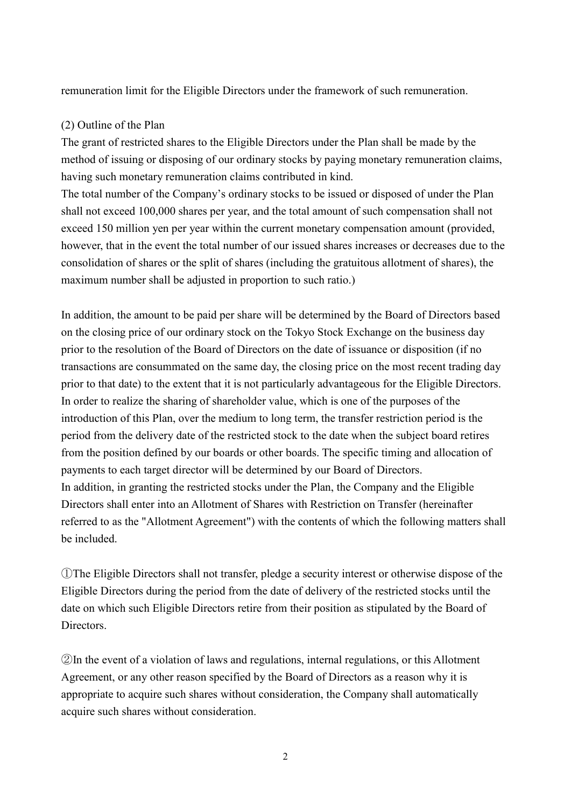remuneration limit for the Eligible Directors under the framework of such remuneration.

#### (2) Outline of the Plan

The grant of restricted shares to the Eligible Directors under the Plan shall be made by the method of issuing or disposing of our ordinary stocks by paying monetary remuneration claims, having such monetary remuneration claims contributed in kind.

The total number of the Company's ordinary stocks to be issued or disposed of under the Plan shall not exceed 100,000 shares per year, and the total amount of such compensation shall not exceed 150 million yen per year within the current monetary compensation amount (provided, however, that in the event the total number of our issued shares increases or decreases due to the consolidation of shares or the split of shares (including the gratuitous allotment of shares), the maximum number shall be adjusted in proportion to such ratio.)

In addition, the amount to be paid per share will be determined by the Board of Directors based on the closing price of our ordinary stock on the Tokyo Stock Exchange on the business day prior to the resolution of the Board of Directors on the date of issuance or disposition (if no transactions are consummated on the same day, the closing price on the most recent trading day prior to that date) to the extent that it is not particularly advantageous for the Eligible Directors. In order to realize the sharing of shareholder value, which is one of the purposes of the introduction of this Plan, over the medium to long term, the transfer restriction period is the period from the delivery date of the restricted stock to the date when the subject board retires from the position defined by our boards or other boards. The specific timing and allocation of payments to each target director will be determined by our Board of Directors. In addition, in granting the restricted stocks under the Plan, the Company and the Eligible Directors shall enter into an Allotment of Shares with Restriction on Transfer (hereinafter referred to as the "Allotment Agreement") with the contents of which the following matters shall be included.

①The Eligible Directors shall not transfer, pledge a security interest or otherwise dispose of the Eligible Directors during the period from the date of delivery of the restricted stocks until the date on which such Eligible Directors retire from their position as stipulated by the Board of Directors.

②In the event of a violation of laws and regulations, internal regulations, or this Allotment Agreement, or any other reason specified by the Board of Directors as a reason why it is appropriate to acquire such shares without consideration, the Company shall automatically acquire such shares without consideration.